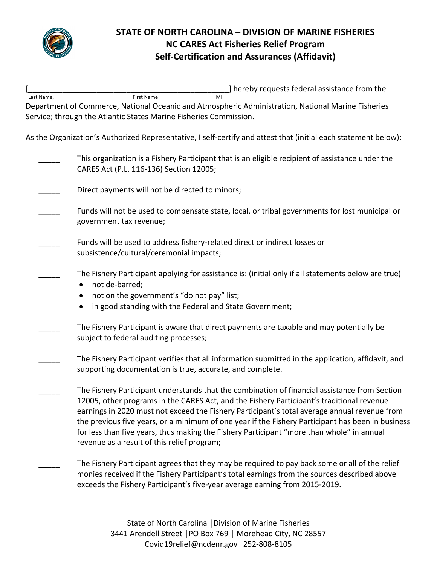

### **STATE OF NORTH CAROLINA – DIVISION OF MARINE FISHERIES NC CARES Act Fisheries Relief Program Self-Certification and Assurances (Affidavit)**

[\_\_\_\_\_\_\_\_\_\_\_\_\_\_\_\_\_\_\_\_\_\_\_\_\_\_\_\_\_\_\_\_\_\_\_\_\_\_\_\_\_\_\_\_\_\_\_] hereby requests federal assistance from the

| Last Name, | <b>First Name</b>                                                 | MI |                                                                                                                 |  |
|------------|-------------------------------------------------------------------|----|-----------------------------------------------------------------------------------------------------------------|--|
|            |                                                                   |    | Department of Commerce, National Oceanic and Atmospheric Administration, National Marine Fisheries              |  |
|            | Service; through the Atlantic States Marine Fisheries Commission. |    |                                                                                                                 |  |
|            |                                                                   |    |                                                                                                                 |  |
|            |                                                                   |    | As the Organization's Authorized Representative, I self-certify and attest that (initial each statement below): |  |
|            |                                                                   |    |                                                                                                                 |  |
|            |                                                                   |    | This organization is a Fishery Participant that is an eligible recipient of assistance under the                |  |
|            | CARES Act (P.L. 116-136) Section 12005;                           |    |                                                                                                                 |  |
|            |                                                                   |    |                                                                                                                 |  |
|            |                                                                   |    |                                                                                                                 |  |

- Direct payments will not be directed to minors;
- Funds will not be used to compensate state, local, or tribal governments for lost municipal or government tax revenue;
- Funds will be used to address fishery-related direct or indirect losses or subsistence/cultural/ceremonial impacts;
	- The Fishery Participant applying for assistance is: (initial only if all statements below are true)
		- not de-barred;
		- not on the government's "do not pay" list;
		- in good standing with the Federal and State Government;
- The Fishery Participant is aware that direct payments are taxable and may potentially be subject to federal auditing processes;
- The Fishery Participant verifies that all information submitted in the application, affidavit, and supporting documentation is true, accurate, and complete.
- The Fishery Participant understands that the combination of financial assistance from Section 12005, other programs in the CARES Act, and the Fishery Participant's traditional revenue earnings in 2020 must not exceed the Fishery Participant's total average annual revenue from the previous five years, or a minimum of one year if the Fishery Participant has been in business for less than five years, thus making the Fishery Participant "more than whole" in annual revenue as a result of this relief program;
	- The Fishery Participant agrees that they may be required to pay back some or all of the relief monies received if the Fishery Participant's total earnings from the sources described above exceeds the Fishery Participant's five-year average earning from 2015-2019.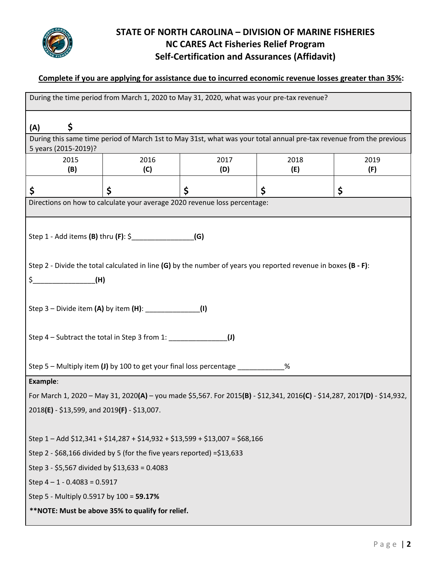

# **STATE OF NORTH CAROLINA – DIVISION OF MARINE FISHERIES NC CARES Act Fisheries Relief Program Self-Certification and Assurances (Affidavit)**

#### **Complete if you are applying for assistance due to incurred economic revenue losses greater than 35%:**

| During the time period from March 1, 2020 to May 31, 2020, what was your pre-tax revenue?                                                   |      |      |      |      |  |  |  |  |
|---------------------------------------------------------------------------------------------------------------------------------------------|------|------|------|------|--|--|--|--|
|                                                                                                                                             |      |      |      |      |  |  |  |  |
| \$<br>(A)                                                                                                                                   |      |      |      |      |  |  |  |  |
| During this same time period of March 1st to May 31st, what was your total annual pre-tax revenue from the previous<br>5 years (2015-2019)? |      |      |      |      |  |  |  |  |
| 2015                                                                                                                                        | 2016 | 2017 | 2018 | 2019 |  |  |  |  |
| (B)                                                                                                                                         | (C)  | (D)  | (E)  | (F)  |  |  |  |  |
| \$                                                                                                                                          | \$   | \$   | \$   | \$   |  |  |  |  |
| Directions on how to calculate your average 2020 revenue loss percentage:                                                                   |      |      |      |      |  |  |  |  |
|                                                                                                                                             |      |      |      |      |  |  |  |  |
| Step 1 - Add items (B) thru (F): \$<br>(G)                                                                                                  |      |      |      |      |  |  |  |  |
|                                                                                                                                             |      |      |      |      |  |  |  |  |
| Step 2 - Divide the total calculated in line (G) by the number of years you reported revenue in boxes (B - F):                              |      |      |      |      |  |  |  |  |
| $$$ (H)                                                                                                                                     |      |      |      |      |  |  |  |  |
|                                                                                                                                             |      |      |      |      |  |  |  |  |
| Step 3 – Divide item (A) by item (H): ________________(I)                                                                                   |      |      |      |      |  |  |  |  |
|                                                                                                                                             |      |      |      |      |  |  |  |  |
| Step 4 - Subtract the total in Step 3 from 1: _____________<br>$\mathbf{u}$                                                                 |      |      |      |      |  |  |  |  |
|                                                                                                                                             |      |      |      |      |  |  |  |  |
| Step 5 – Multiply item (J) by 100 to get your final loss percentage                                                                         |      |      |      |      |  |  |  |  |
| Example:                                                                                                                                    |      |      |      |      |  |  |  |  |
| For March 1, 2020 - May 31, 2020(A) - you made \$5,567. For 2015(B) - \$12,341, 2016(C) - \$14,287, 2017(D) - \$14,932,                     |      |      |      |      |  |  |  |  |
| 2018(E) - \$13,599, and 2019(F) - \$13,007.                                                                                                 |      |      |      |      |  |  |  |  |
|                                                                                                                                             |      |      |      |      |  |  |  |  |
| Step 1-Add \$12,341 + \$14,287 + \$14,932 + \$13,599 + \$13,007 = \$68,166                                                                  |      |      |      |      |  |  |  |  |
| Step 2 - \$68,166 divided by 5 (for the five years reported) = \$13,633                                                                     |      |      |      |      |  |  |  |  |
| Step 3 - \$5,567 divided by \$13,633 = 0.4083                                                                                               |      |      |      |      |  |  |  |  |
| Step $4 - 1 - 0.4083 = 0.5917$                                                                                                              |      |      |      |      |  |  |  |  |
| Step 5 - Multiply 0.5917 by 100 = 59.17%                                                                                                    |      |      |      |      |  |  |  |  |
| **NOTE: Must be above 35% to qualify for relief.                                                                                            |      |      |      |      |  |  |  |  |
|                                                                                                                                             |      |      |      |      |  |  |  |  |